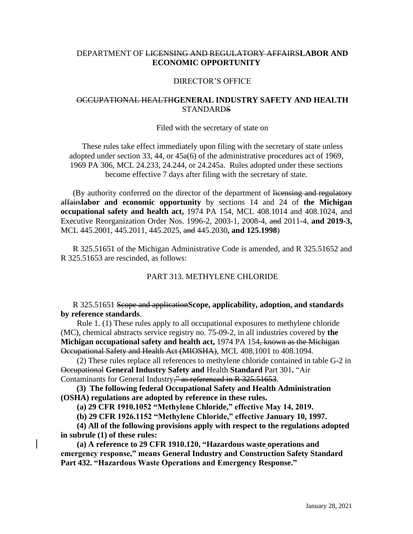# DEPARTMENT OF LICENSING AND REGULATORY AFFAIRS**LABOR AND ECONOMIC OPPORTUNITY**

#### DIRECTOR'S OFFICE

## OCCUPATIONAL HEALTH**GENERAL INDUSTRY SAFETY AND HEALTH STANDARDS**

#### Filed with the secretary of state on

These rules take effect immediately upon filing with the secretary of state unless adopted under section 33, 44, or 45a(6) of the administrative procedures act of 1969, 1969 PA 306, MCL 24.233, 24.244, or 24.245a. Rules adopted under these sections become effective 7 days after filing with the secretary of state.

(By authority conferred on the director of the department of licensing and regulatory affairs**labor and economic opportunity** by sections 14 and 24 of **the Michigan occupational safety and health act,** 1974 PA 154, MCL 408.1014 and 408.1024, and Executive Reorganization Order Nos. 1996-2, 2003-1, 2008-4, and 2011-4, **and 2019-3,** MCL 445.2001, 445.2011, 445.2025, and 445.2030**, and 125.1998**)

R 325.51651 of the Michigan Administrative Code is amended, and R 325.51652 and R 325.51653 are rescinded, as follows:

### PART 313. METHYLENE CHLORIDE

R 325.51651 Scope and application**Scope, applicability, adoption, and standards by reference standards**.

 Rule 1. (1) These rules apply to all occupational exposures to methylene chloride (MC), chemical abstracts service registry no. 75-09-2, in all industries covered by **the Michigan occupational safety and health act,** 1974 PA 154, known as the Michigan Occupational Safety and Health Act (MIOSHA), MCL 408.1001 to 408.1094.

 (2) These rules replace all references to methylene chloride contained in table G-2 in Occupational **General Industry Safety and** Health **Standard** Part 301**.** "Air Contaminants for General Industry," as referenced in R 325.51653.

 **(3) The following federal Occupational Safety and Health Administration (OSHA) regulations are adopted by reference in these rules.** 

 **(a) 29 CFR 1910.1052 "Methylene Chloride," effective May 14, 2019.**

 **(b) 29 CFR 1926.1152 "Methylene Chloride," effective January 10, 1997.**

 **(4) All of the following provisions apply with respect to the regulations adopted in subrule (1) of these rules:** 

 **(a) A reference to 29 CFR 1910.120, "Hazardous waste operations and emergency response," means General Industry and Construction Safety Standard Part 432. "Hazardous Waste Operations and Emergency Response."**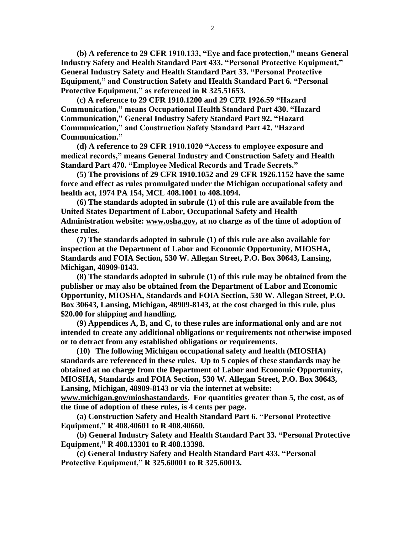**(b) A reference to 29 CFR 1910.133, "Eye and face protection," means General Industry Safety and Health Standard Part 433. "Personal Protective Equipment," General Industry Safety and Health Standard Part 33. "Personal Protective Equipment," and Construction Safety and Health Standard Part 6. "Personal Protective Equipment." as referenced in R 325.51653.** 

 **(c) A reference to 29 CFR 1910.1200 and 29 CFR 1926.59 "Hazard Communication," means Occupational Health Standard Part 430. "Hazard Communication," General Industry Safety Standard Part 92. "Hazard Communication," and Construction Safety Standard Part 42. "Hazard Communication."** 

 **(d) A reference to 29 CFR 1910.1020 "Access to employee exposure and medical records," means General Industry and Construction Safety and Health Standard Part 470. "Employee Medical Records and Trade Secrets."** 

 **(5) The provisions of 29 CFR 1910.1052 and 29 CFR 1926.1152 have the same force and effect as rules promulgated under the Michigan occupational safety and health act, 1974 PA 154, MCL 408.1001 to 408.1094.** 

 **(6) The standards adopted in subrule (1) of this rule are available from the United States Department of Labor, Occupational Safety and Health Administration website: www.osha.gov, at no charge as of the time of adoption of these rules.** 

 **(7) The standards adopted in subrule (1) of this rule are also available for inspection at the Department of Labor and Economic Opportunity, MIOSHA, Standards and FOIA Section, 530 W. Allegan Street, P.O. Box 30643, Lansing, Michigan, 48909-8143.**

**(8) The standards adopted in subrule (1) of this rule may be obtained from the publisher or may also be obtained from the Department of Labor and Economic Opportunity, MIOSHA, Standards and FOIA Section, 530 W. Allegan Street, P.O. Box 30643, Lansing, Michigan, 48909-8143, at the cost charged in this rule, plus \$20.00 for shipping and handling.**

 **(9) Appendices A, B, and C, to these rules are informational only and are not intended to create any additional obligations or requirements not otherwise imposed or to detract from any established obligations or requirements.** 

 **(10) The following Michigan occupational safety and health (MIOSHA) standards are referenced in these rules. Up to 5 copies of these standards may be obtained at no charge from the Department of Labor and Economic Opportunity, MIOSHA, Standards and FOIA Section, 530 W. Allegan Street, P.O. Box 30643, Lansing, Michigan, 48909-8143 or via the internet at website: www.michigan.gov/mioshastandards. For quantities greater than 5, the cost, as of the time of adoption of these rules, is 4 cents per page.**

 **(a) Construction Safety and Health Standard Part 6. "Personal Protective Equipment," R 408.40601 to R 408.40660.**

 **(b) General Industry Safety and Health Standard Part 33. "Personal Protective Equipment," R 408.13301 to R 408.13398.**

 **(c) General Industry Safety and Health Standard Part 433. "Personal Protective Equipment," R 325.60001 to R 325.60013.**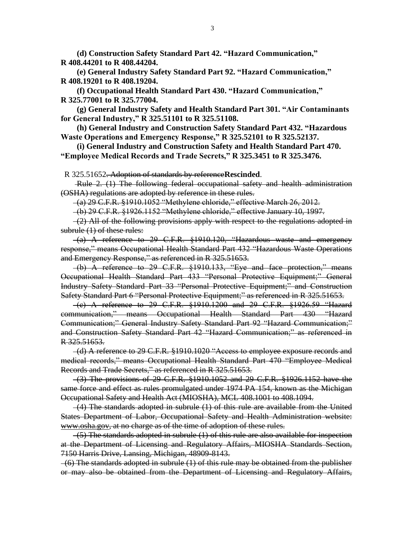**(d) Construction Safety Standard Part 42. "Hazard Communication," R 408.44201 to R 408.44204.**

 **(e) General Industry Safety Standard Part 92. "Hazard Communication," R 408.19201 to R 408.19204.**

 **(f) Occupational Health Standard Part 430. "Hazard Communication," R 325.77001 to R 325.77004.**

 **(g) General Industry Safety and Health Standard Part 301. "Air Contaminants for General Industry," R 325.51101 to R 325.51108.**

 **(h) General Industry and Construction Safety Standard Part 432. "Hazardous Waste Operations and Emergency Response," R 325.52101 to R 325.52137.**

 **(i) General Industry and Construction Safety and Health Standard Part 470. "Employee Medical Records and Trade Secrets," R 325.3451 to R 325.3476.**

R 325.51652. Adoption of standards by reference**Rescinded**.

Rule 2. (1) The following federal occupational safety and health administration (OSHA) regulations are adopted by reference in these rules.

(a) 29 C.F.R. §1910.1052 "Methylene chloride," effective March 26, 2012.

(b) 29 C.F.R. §1926.1152 "Methylene chloride," effective January 10, 1997.

 $-(2)$  All of the following provisions apply with respect to the regulations adopted in subrule (1) of these rules:

 $-(a)$  A reference to 29 C.F.R.  $\frac{1910.120}{10.120}$ , "Hazardous waste and emergency response," means Occupational Health Standard Part 432 "Hazardous Waste Operations and Emergency Response," as referenced in R 325.51653.

 (b) A reference to 29 C.F.R. §1910.133, "Eye and face protection," means Occupational Health Standard Part 433 "Personal Protective Equipment;" General Industry Safety Standard Part 33 "Personal Protective Equipment;" and Construction Safety Standard Part 6 "Personal Protective Equipment;" as referenced in R 325.51653.

 (c) A reference to 29 C.F.R. §1910.1200 and 29 C.F.R. §1926.59 "Hazard communication," means Occupational Health Standard Part 430 "Hazard Communication;" General Industry Safety Standard Part 92 "Hazard Communication;" and Construction Safety Standard Part 42 "Hazard Communication;" as referenced in R 325.51653.

 (d) A reference to 29 C.F.R. §1910.1020 "Access to employee exposure records and medical records," means Occupational Health Standard Part 470 "Employee Medical Records and Trade Secrets," as referenced in R 325.51653.

 (3) The provisions of 29 C.F.R. §1910.1052 and 29 C.F.R. §1926.1152 have the same force and effect as rules promulgated under 1974 PA 154, known as the Michigan Occupational Safety and Health Act (MIOSHA), MCL 408.1001 to 408.1094.

 $-(4)$  The standards adopted in subrule  $(1)$  of this rule are available from the United States Department of Labor, Occupational Safety and Health Administration website: www.osha.gov, at no charge as of the time of adoption of these rules.

 $-(5)$  The standards adopted in subrule  $(1)$  of this rule are also available for inspection at the Department of Licensing and Regulatory Affairs, MIOSHA Standards Section, 7150 Harris Drive, Lansing, Michigan, 48909-8143.

 (6) The standards adopted in subrule (1) of this rule may be obtained from the publisher or may also be obtained from the Department of Licensing and Regulatory Affairs,